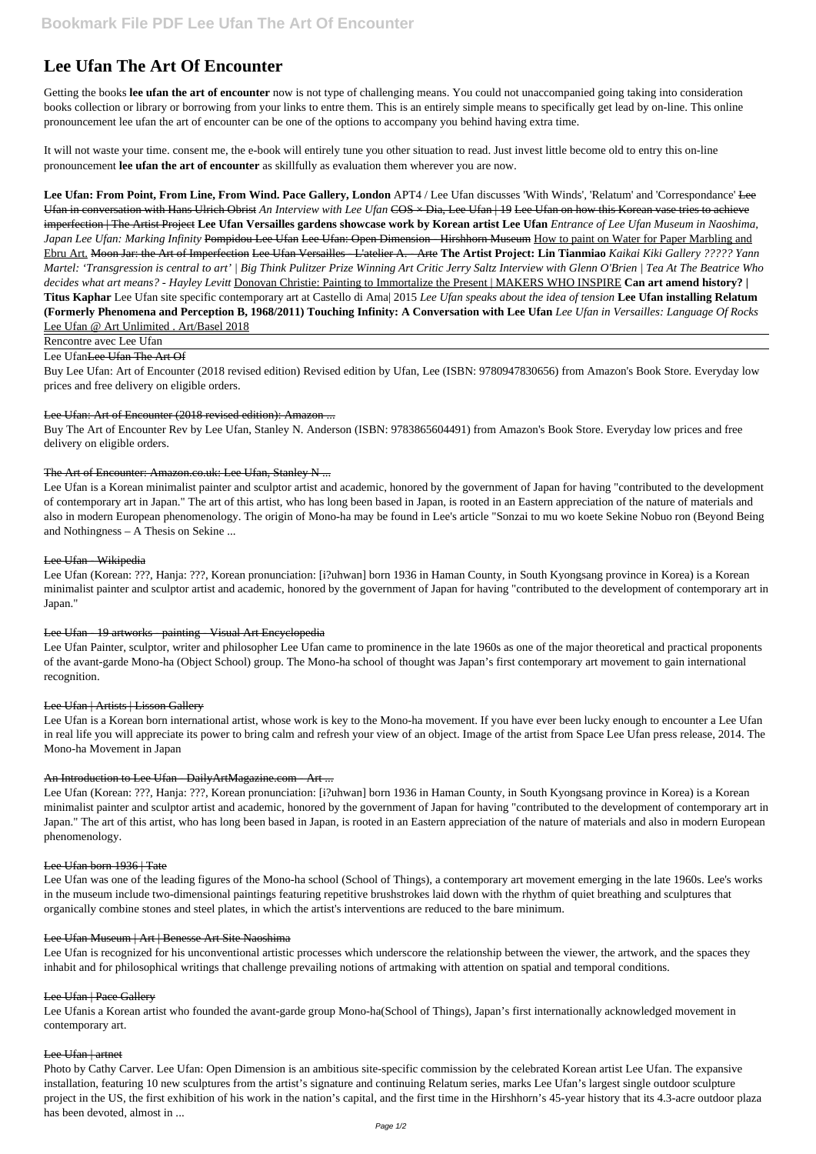# **Lee Ufan The Art Of Encounter**

Getting the books **lee ufan the art of encounter** now is not type of challenging means. You could not unaccompanied going taking into consideration books collection or library or borrowing from your links to entre them. This is an entirely simple means to specifically get lead by on-line. This online pronouncement lee ufan the art of encounter can be one of the options to accompany you behind having extra time.

It will not waste your time. consent me, the e-book will entirely tune you other situation to read. Just invest little become old to entry this on-line pronouncement **lee ufan the art of encounter** as skillfully as evaluation them wherever you are now.

Lee Ufan: From Point, From Line, From Wind. Pace Gallery, London APT4 / Lee Ufan discusses 'With Winds', 'Relatum' and 'Correspondance' <del>Lee</del> Ufan in conversation with Hans Ulrich Obrist *An Interview with Lee Ufan* COS × Dia, Lee Ufan | 19 Lee Ufan on how this Korean vase tries to achieve imperfection | The Artist Project **Lee Ufan Versailles gardens showcase work by Korean artist Lee Ufan** *Entrance of Lee Ufan Museum in Naoshima, Japan Lee Ufan: Marking Infinity* Pompidou Lee Ufan Lee Ufan: Open Dimension - Hirshhorn Museum How to paint on Water for Paper Marbling and Ebru Art. Moon Jar: the Art of Imperfection Lee Ufan Versailles - L'atelier A. - Arte **The Artist Project: Lin Tianmiao** *Kaikai Kiki Gallery ????? Yann Martel: 'Transgression is central to art' | Big Think Pulitzer Prize Winning Art Critic Jerry Saltz Interview with Glenn O'Brien | Tea At The Beatrice Who decides what art means? - Hayley Levitt* Donovan Christie: Painting to Immortalize the Present | MAKERS WHO INSPIRE **Can art amend history? | Titus Kaphar** Lee Ufan site specific contemporary art at Castello di Ama| 2015 *Lee Ufan speaks about the idea of tension* **Lee Ufan installing Relatum (Formerly Phenomena and Perception B, 1968/2011) Touching Infinity: A Conversation with Lee Ufan** *Lee Ufan in Versailles: Language Of Rocks* Lee Ufan @ Art Unlimited . Art/Basel 2018

Rencontre avec Lee Ufan

## Lee Ufan Lee Ufan The Art Of

Buy Lee Ufan: Art of Encounter (2018 revised edition) Revised edition by Ufan, Lee (ISBN: 9780947830656) from Amazon's Book Store. Everyday low prices and free delivery on eligible orders.

## Lee Ufan: Art of Encounter (2018 revised edition): Amazon ...

Buy The Art of Encounter Rev by Lee Ufan, Stanley N. Anderson (ISBN: 9783865604491) from Amazon's Book Store. Everyday low prices and free delivery on eligible orders.

## The Art of Encounter: Amazon.co.uk: Lee Ufan, Stanley N ...

Lee Ufan is a Korean minimalist painter and sculptor artist and academic, honored by the government of Japan for having "contributed to the development of contemporary art in Japan." The art of this artist, who has long been based in Japan, is rooted in an Eastern appreciation of the nature of materials and also in modern European phenomenology. The origin of Mono-ha may be found in Lee's article "Sonzai to mu wo koete Sekine Nobuo ron (Beyond Being and Nothingness – A Thesis on Sekine ...

## Lee Ufan - Wikipedia

Lee Ufan (Korean: ???, Hanja: ???, Korean pronunciation: [i?uhwan] born 1936 in Haman County, in South Kyongsang province in Korea) is a Korean minimalist painter and sculptor artist and academic, honored by the government of Japan for having "contributed to the development of contemporary art in Japan."

# Lee Ufan - 19 artworks - painting - Visual Art Encyclopedia

Lee Ufan Painter, sculptor, writer and philosopher Lee Ufan came to prominence in the late 1960s as one of the major theoretical and practical proponents of the avant-garde Mono-ha (Object School) group. The Mono-ha school of thought was Japan's first contemporary art movement to gain international recognition.

## Lee Ufan | Artists | Lisson Gallery

Lee Ufan is a Korean born international artist, whose work is key to the Mono-ha movement. If you have ever been lucky enough to encounter a Lee Ufan in real life you will appreciate its power to bring calm and refresh your view of an object. Image of the artist from Space Lee Ufan press release, 2014. The Mono-ha Movement in Japan

# An Introduction to Lee Ufan - Daily ArtMagazine.com - Art ...

Lee Ufan (Korean: ???, Hanja: ???, Korean pronunciation: [i?uhwan] born 1936 in Haman County, in South Kyongsang province in Korea) is a Korean minimalist painter and sculptor artist and academic, honored by the government of Japan for having "contributed to the development of contemporary art in Japan." The art of this artist, who has long been based in Japan, is rooted in an Eastern appreciation of the nature of materials and also in modern European phenomenology.

#### Lee Ufan born 1936 | Tate

Lee Ufan was one of the leading figures of the Mono-ha school (School of Things), a contemporary art movement emerging in the late 1960s. Lee's works in the museum include two-dimensional paintings featuring repetitive brushstrokes laid down with the rhythm of quiet breathing and sculptures that organically combine stones and steel plates, in which the artist's interventions are reduced to the bare minimum.

#### Lee Ufan Museum | Art | Benesse Art Site Naoshima

Lee Ufan is recognized for his unconventional artistic processes which underscore the relationship between the viewer, the artwork, and the spaces they inhabit and for philosophical writings that challenge prevailing notions of artmaking with attention on spatial and temporal conditions.

#### Lee Ufan | Pace Gallery

Lee Ufanis a Korean artist who founded the avant-garde group Mono-ha(School of Things), Japan's first internationally acknowledged movement in contemporary art.

#### Lee Ufan | artnet

Photo by Cathy Carver. Lee Ufan: Open Dimension is an ambitious site-specific commission by the celebrated Korean artist Lee Ufan. The expansive installation, featuring 10 new sculptures from the artist's signature and continuing Relatum series, marks Lee Ufan's largest single outdoor sculpture project in the US, the first exhibition of his work in the nation's capital, and the first time in the Hirshhorn's 45-year history that its 4.3-acre outdoor plaza has been devoted, almost in ...